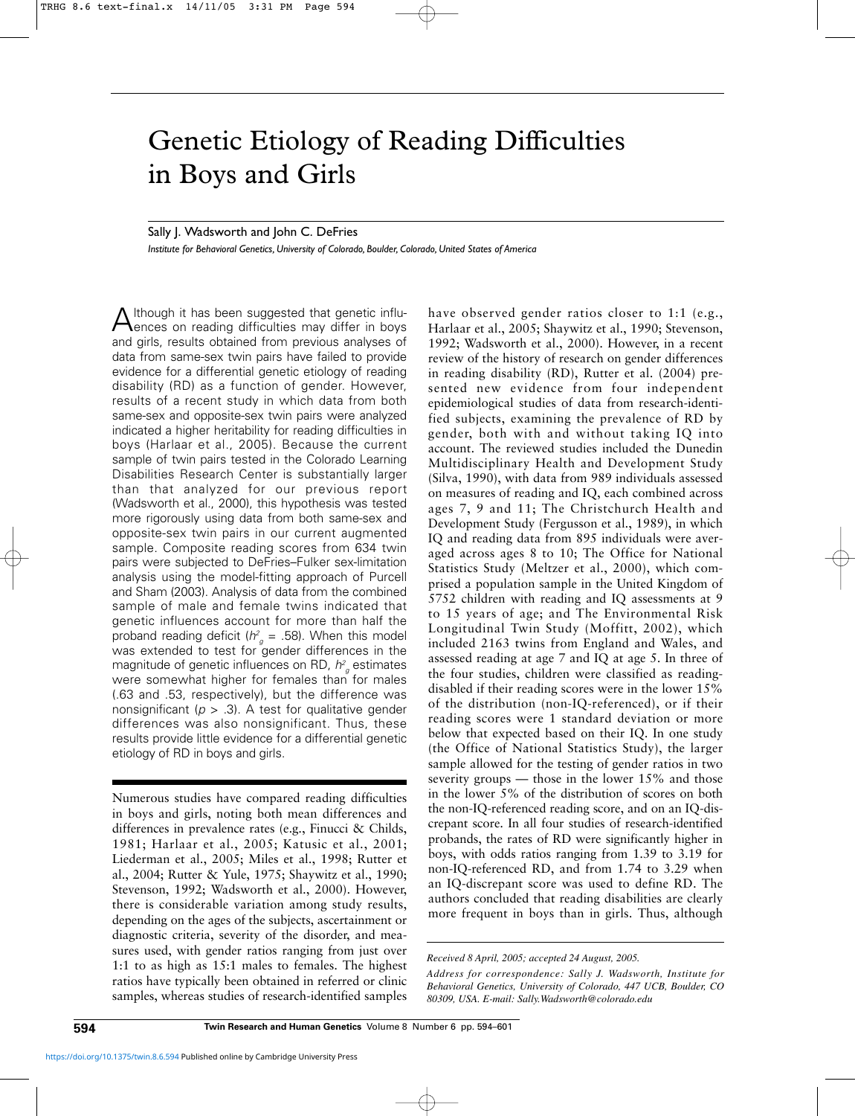# Genetic Etiology of Reading Difficulties in Boys and Girls

#### Sally J. Wadsworth and John C. DeFries

*Institute for Behavioral Genetics, University of Colorado, Boulder, Colorado, United States of America*

Although it has been suggested that genetic influ-<br>ences on reading difficulties may differ in boys and girls, results obtained from previous analyses of data from same-sex twin pairs have failed to provide evidence for a differential genetic etiology of reading disability (RD) as a function of gender. However, results of a recent study in which data from both same-sex and opposite-sex twin pairs were analyzed indicated a higher heritability for reading difficulties in boys (Harlaar et al., 2005). Because the current sample of twin pairs tested in the Colorado Learning Disabilities Research Center is substantially larger than that analyzed for our previous report (Wadsworth et al., 2000), this hypothesis was tested more rigorously using data from both same-sex and opposite-sex twin pairs in our current augmented sample. Composite reading scores from 634 twin pairs were subjected to DeFries–Fulker sex-limitation analysis using the model-fitting approach of Purcell and Sham (2003). Analysis of data from the combined sample of male and female twins indicated that genetic influences account for more than half the proband reading deficit ( $h^2_{\;g}$  = .58). When this model was extended to test for gender differences in the magnitude of genetic influences on RD,  $h^{\scriptscriptstyle 2}_{\scriptscriptstyle g}$  estimates were somewhat higher for females than for males (.63 and .53, respectively), but the difference was nonsignificant ( $p > .3$ ). A test for qualitative gender differences was also nonsignificant. Thus, these results provide little evidence for a differential genetic etiology of RD in boys and girls.

Numerous studies have compared reading difficulties in boys and girls, noting both mean differences and differences in prevalence rates (e.g., Finucci & Childs, 1981; Harlaar et al., 2005; Katusic et al., 2001; Liederman et al., 2005; Miles et al., 1998; Rutter et al., 2004; Rutter & Yule, 1975; Shaywitz et al., 1990; Stevenson, 1992; Wadsworth et al., 2000). However, there is considerable variation among study results, depending on the ages of the subjects, ascertainment or diagnostic criteria, severity of the disorder, and measures used, with gender ratios ranging from just over 1:1 to as high as 15:1 males to females. The highest ratios have typically been obtained in referred or clinic samples, whereas studies of research-identified samples have observed gender ratios closer to 1:1 (e.g., Harlaar et al., 2005; Shaywitz et al., 1990; Stevenson, 1992; Wadsworth et al., 2000). However, in a recent review of the history of research on gender differences in reading disability (RD), Rutter et al. (2004) presented new evidence from four independent epidemiological studies of data from research-identified subjects, examining the prevalence of RD by gender, both with and without taking IQ into account. The reviewed studies included the Dunedin Multidisciplinary Health and Development Study (Silva, 1990), with data from 989 individuals assessed on measures of reading and IQ, each combined across ages 7, 9 and 11; The Christchurch Health and Development Study (Fergusson et al., 1989), in which IQ and reading data from 895 individuals were averaged across ages 8 to 10; The Office for National Statistics Study (Meltzer et al., 2000), which comprised a population sample in the United Kingdom of 5752 children with reading and IQ assessments at 9 to 15 years of age; and The Environmental Risk Longitudinal Twin Study (Moffitt, 2002), which included 2163 twins from England and Wales, and assessed reading at age 7 and IQ at age 5. In three of the four studies, children were classified as readingdisabled if their reading scores were in the lower 15% of the distribution (non-IQ-referenced), or if their reading scores were 1 standard deviation or more below that expected based on their IQ. In one study (the Office of National Statistics Study), the larger sample allowed for the testing of gender ratios in two severity groups — those in the lower  $15\%$  and those in the lower 5% of the distribution of scores on both the non-IQ-referenced reading score, and on an IQ-discrepant score. In all four studies of research-identified probands, the rates of RD were significantly higher in boys, with odds ratios ranging from 1.39 to 3.19 for non-IQ-referenced RD, and from 1.74 to 3.29 when an IQ-discrepant score was used to define RD. The authors concluded that reading disabilities are clearly more frequent in boys than in girls. Thus, although

*Received 8 April, 2005; accepted 24 August, 2005.*

*Address for correspondence: Sally J. Wadsworth, Institute for Behavioral Genetics, University of Colorado, 447 UCB, Boulder, CO 80309, USA. E-mail: Sally.Wadsworth@colorado.edu*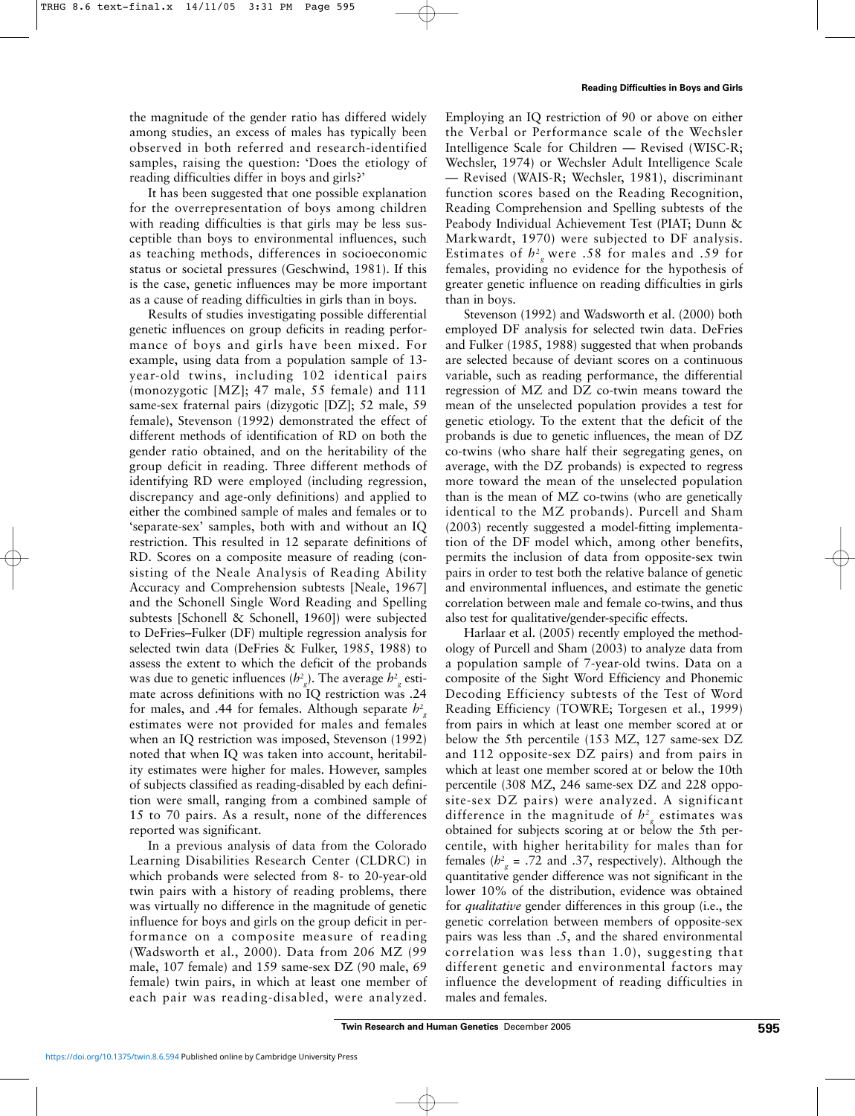the magnitude of the gender ratio has differed widely among studies, an excess of males has typically been observed in both referred and research-identified samples, raising the question: 'Does the etiology of reading difficulties differ in boys and girls?'

It has been suggested that one possible explanation for the overrepresentation of boys among children with reading difficulties is that girls may be less susceptible than boys to environmental influences, such as teaching methods, differences in socioeconomic status or societal pressures (Geschwind, 1981). If this is the case, genetic influences may be more important as a cause of reading difficulties in girls than in boys.

Results of studies investigating possible differential genetic influences on group deficits in reading performance of boys and girls have been mixed. For example, using data from a population sample of 13 year-old twins, including 102 identical pairs (monozygotic [MZ]; 47 male, 55 female) and 111 same-sex fraternal pairs (dizygotic [DZ]; 52 male, 59 female), Stevenson (1992) demonstrated the effect of different methods of identification of RD on both the gender ratio obtained, and on the heritability of the group deficit in reading. Three different methods of identifying RD were employed (including regression, discrepancy and age-only definitions) and applied to either the combined sample of males and females or to 'separate-sex' samples, both with and without an IQ restriction. This resulted in 12 separate definitions of RD. Scores on a composite measure of reading (consisting of the Neale Analysis of Reading Ability Accuracy and Comprehension subtests [Neale, 1967] and the Schonell Single Word Reading and Spelling subtests [Schonell & Schonell, 1960]) were subjected to DeFries–Fulker (DF) multiple regression analysis for selected twin data (DeFries & Fulker, 1985, 1988) to assess the extent to which the deficit of the probands was due to genetic influences ( $h^2_{\phantom{2}g}$ ). The average  $h^2_{\phantom{2}g}$  estimate across definitions with no IQ restriction was .24 for males, and .44 for females. Although separate *h2 g* estimates were not provided for males and females when an IQ restriction was imposed, Stevenson (1992) noted that when IQ was taken into account, heritability estimates were higher for males. However, samples of subjects classified as reading-disabled by each definition were small, ranging from a combined sample of 15 to 70 pairs. As a result, none of the differences reported was significant.

In a previous analysis of data from the Colorado Learning Disabilities Research Center (CLDRC) in which probands were selected from 8- to 20-year-old twin pairs with a history of reading problems, there was virtually no difference in the magnitude of genetic influence for boys and girls on the group deficit in performance on a composite measure of reading (Wadsworth et al., 2000). Data from 206 MZ (99 male, 107 female) and 159 same-sex DZ (90 male, 69 female) twin pairs, in which at least one member of each pair was reading-disabled, were analyzed.

Employing an IQ restriction of 90 or above on either the Verbal or Performance scale of the Wechsler Intelligence Scale for Children — Revised (WISC-R; Wechsler, 1974) or Wechsler Adult Intelligence Scale — Revised (WAIS-R; Wechsler, 1981), discriminant function scores based on the Reading Recognition, Reading Comprehension and Spelling subtests of the Peabody Individual Achievement Test (PIAT; Dunn & Markwardt, 1970) were subjected to DF analysis. Estimates of  $h^2$ <sub>g</sub> were .58 for males and .59 for females, providing no evidence for the hypothesis of greater genetic influence on reading difficulties in girls than in boys.

Stevenson (1992) and Wadsworth et al. (2000) both employed DF analysis for selected twin data. DeFries and Fulker (1985, 1988) suggested that when probands are selected because of deviant scores on a continuous variable, such as reading performance, the differential regression of MZ and DZ co-twin means toward the mean of the unselected population provides a test for genetic etiology. To the extent that the deficit of the probands is due to genetic influences, the mean of DZ co-twins (who share half their segregating genes, on average, with the DZ probands) is expected to regress more toward the mean of the unselected population than is the mean of MZ co-twins (who are genetically identical to the MZ probands). Purcell and Sham (2003) recently suggested a model-fitting implementation of the DF model which, among other benefits, permits the inclusion of data from opposite-sex twin pairs in order to test both the relative balance of genetic and environmental influences, and estimate the genetic correlation between male and female co-twins, and thus also test for qualitative/gender-specific effects.

Harlaar et al. (2005) recently employed the methodology of Purcell and Sham (2003) to analyze data from a population sample of 7-year-old twins. Data on a composite of the Sight Word Efficiency and Phonemic Decoding Efficiency subtests of the Test of Word Reading Efficiency (TOWRE; Torgesen et al., 1999) from pairs in which at least one member scored at or below the 5th percentile (153 MZ, 127 same-sex DZ and 112 opposite-sex DZ pairs) and from pairs in which at least one member scored at or below the 10th percentile (308 MZ, 246 same-sex DZ and 228 opposite-sex DZ pairs) were analyzed. A significant difference in the magnitude of  $h^2_{\phantom{2}g}$  estimates was obtained for subjects scoring at or below the 5th percentile, with higher heritability for males than for females ( $h^2$ <sub>g</sub> = .72 and .37, respectively). Although the quantitative gender difference was not significant in the lower 10% of the distribution, evidence was obtained for *qualitative* gender differences in this group (i.e., the genetic correlation between members of opposite-sex pairs was less than .5, and the shared environmental correlation was less than 1.0), suggesting that different genetic and environmental factors may influence the development of reading difficulties in males and females.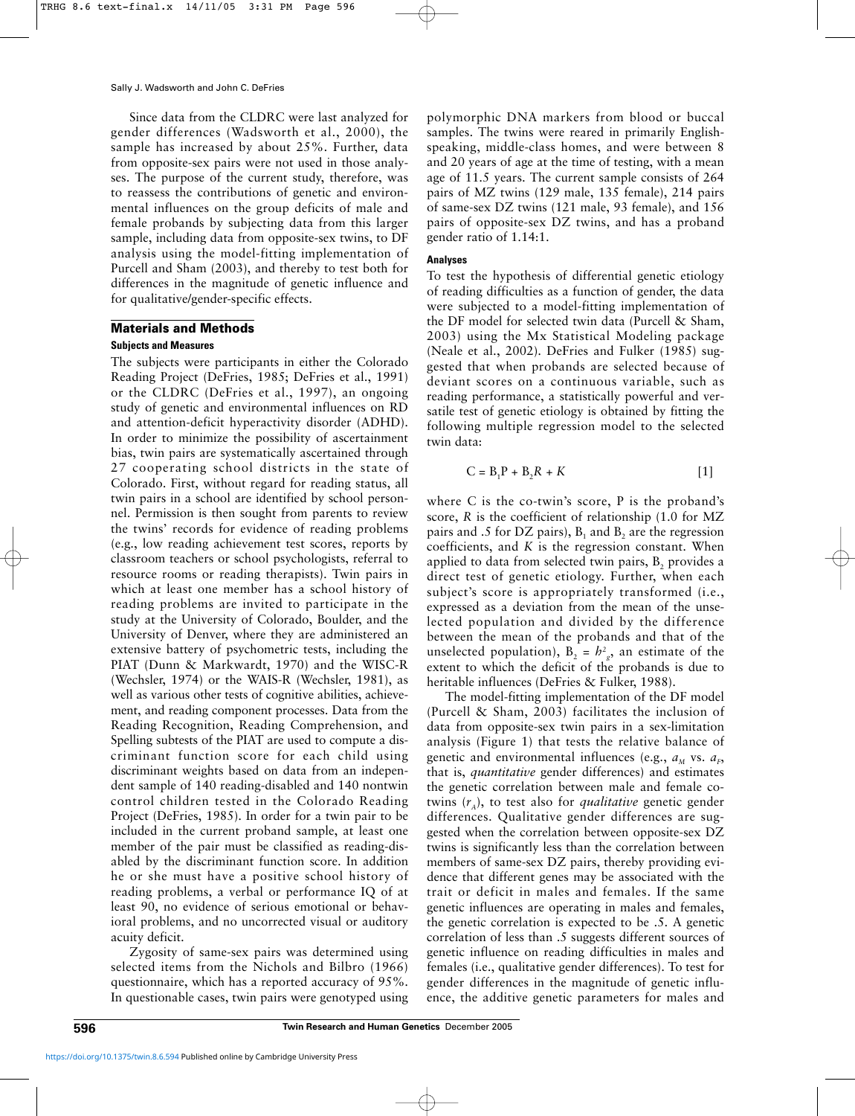Since data from the CLDRC were last analyzed for gender differences (Wadsworth et al., 2000), the sample has increased by about 25%. Further, data from opposite-sex pairs were not used in those analyses. The purpose of the current study, therefore, was to reassess the contributions of genetic and environmental influences on the group deficits of male and female probands by subjecting data from this larger sample, including data from opposite-sex twins, to DF analysis using the model-fitting implementation of Purcell and Sham (2003), and thereby to test both for differences in the magnitude of genetic influence and for qualitative/gender-specific effects.

# **Materials and Methods**

# **Subjects and Measures**

The subjects were participants in either the Colorado Reading Project (DeFries, 1985; DeFries et al., 1991) or the CLDRC (DeFries et al., 1997), an ongoing study of genetic and environmental influences on RD and attention-deficit hyperactivity disorder (ADHD). In order to minimize the possibility of ascertainment bias, twin pairs are systematically ascertained through 27 cooperating school districts in the state of Colorado. First, without regard for reading status, all twin pairs in a school are identified by school personnel. Permission is then sought from parents to review the twins' records for evidence of reading problems (e.g., low reading achievement test scores, reports by classroom teachers or school psychologists, referral to resource rooms or reading therapists). Twin pairs in which at least one member has a school history of reading problems are invited to participate in the study at the University of Colorado, Boulder, and the University of Denver, where they are administered an extensive battery of psychometric tests, including the PIAT (Dunn & Markwardt, 1970) and the WISC-R (Wechsler, 1974) or the WAIS-R (Wechsler, 1981), as well as various other tests of cognitive abilities, achievement, and reading component processes. Data from the Reading Recognition, Reading Comprehension, and Spelling subtests of the PIAT are used to compute a discriminant function score for each child using discriminant weights based on data from an independent sample of 140 reading-disabled and 140 nontwin control children tested in the Colorado Reading Project (DeFries, 1985). In order for a twin pair to be included in the current proband sample, at least one member of the pair must be classified as reading-disabled by the discriminant function score. In addition he or she must have a positive school history of reading problems, a verbal or performance IQ of at least 90, no evidence of serious emotional or behavioral problems, and no uncorrected visual or auditory acuity deficit.

Zygosity of same-sex pairs was determined using selected items from the Nichols and Bilbro (1966) questionnaire, which has a reported accuracy of 95%. In questionable cases, twin pairs were genotyped using polymorphic DNA markers from blood or buccal samples. The twins were reared in primarily Englishspeaking, middle-class homes, and were between 8 and 20 years of age at the time of testing, with a mean age of 11.5 years. The current sample consists of 264 pairs of MZ twins (129 male, 135 female), 214 pairs of same-sex DZ twins (121 male, 93 female), and 156 pairs of opposite-sex DZ twins, and has a proband gender ratio of 1.14:1.

#### **Analyses**

To test the hypothesis of differential genetic etiology of reading difficulties as a function of gender, the data were subjected to a model-fitting implementation of the DF model for selected twin data (Purcell & Sham, 2003) using the Mx Statistical Modeling package (Neale et al., 2002). DeFries and Fulker (1985) suggested that when probands are selected because of deviant scores on a continuous variable, such as reading performance, a statistically powerful and versatile test of genetic etiology is obtained by fitting the following multiple regression model to the selected twin data:

$$
C = B_1 P + B_2 R + K \tag{1}
$$

where C is the co-twin's score, P is the proband's score, *R* is the coefficient of relationship (1.0 for MZ pairs and .5 for DZ pairs),  $B_1$  and  $B_2$  are the regression coefficients, and *K* is the regression constant. When applied to data from selected twin pairs, B<sub>2</sub> provides a direct test of genetic etiology. Further, when each subject's score is appropriately transformed (i.e., expressed as a deviation from the mean of the unselected population and divided by the difference between the mean of the probands and that of the unselected population),  $B_2 = h^2$ , an estimate of the extent to which the deficit of the probands is due to heritable influences (DeFries & Fulker, 1988).

The model-fitting implementation of the DF model (Purcell & Sham, 2003) facilitates the inclusion of data from opposite-sex twin pairs in a sex-limitation analysis (Figure 1) that tests the relative balance of genetic and environmental influences (e.g.,  $a<sub>M</sub>$  vs.  $a<sub>F</sub>$ , that is, *quantitative* gender differences) and estimates the genetic correlation between male and female cotwins  $(r_A)$ , to test also for *qualitative* genetic gender differences. Qualitative gender differences are suggested when the correlation between opposite-sex DZ twins is significantly less than the correlation between members of same-sex DZ pairs, thereby providing evidence that different genes may be associated with the trait or deficit in males and females. If the same genetic influences are operating in males and females, the genetic correlation is expected to be .5. A genetic correlation of less than .5 suggests different sources of genetic influence on reading difficulties in males and females (i.e., qualitative gender differences). To test for gender differences in the magnitude of genetic influence, the additive genetic parameters for males and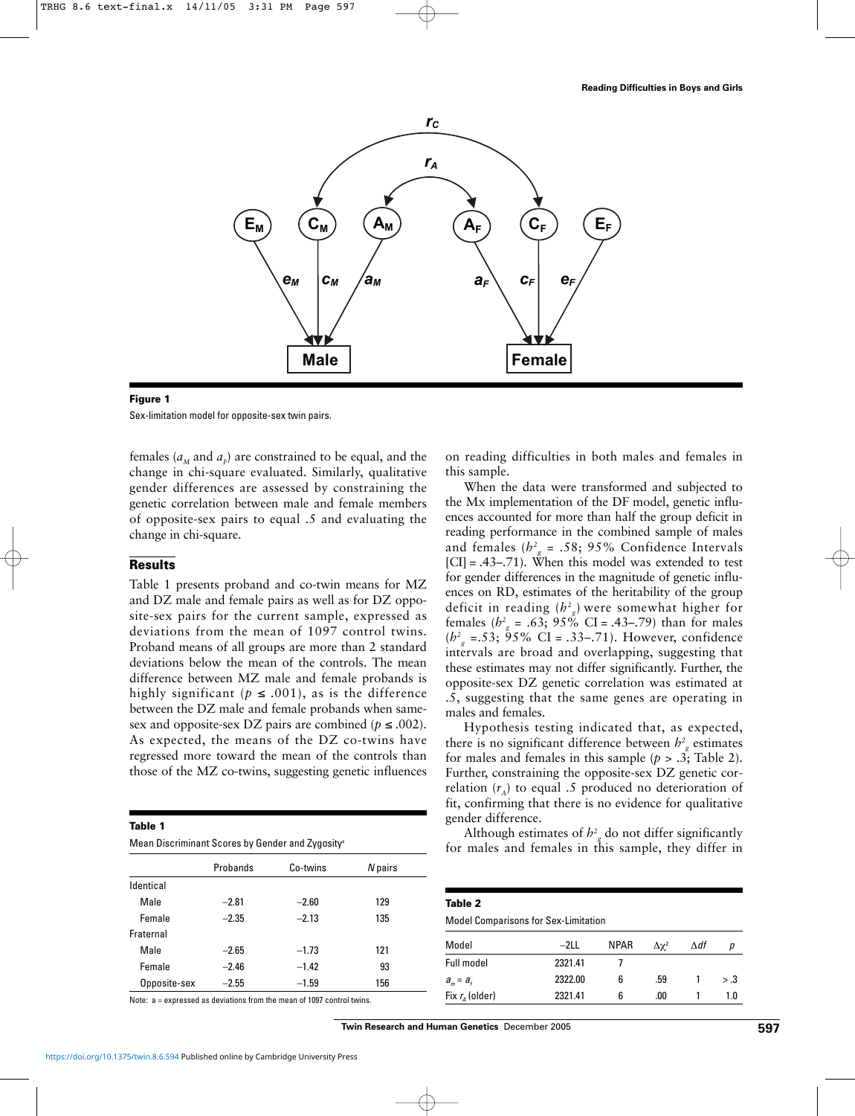

#### **Figure 1**

Sex-limitation model for opposite-sex twin pairs.

females ( $a_M$  and  $a_F$ ) are constrained to be equal, and the change in chi-square evaluated. Similarly, qualitative gender differences are assessed by constraining the genetic correlation between male and female members of opposite-sex pairs to equal .5 and evaluating the change in chi-square*.*

# **Results**

Table 1 presents proband and co-twin means for MZ and DZ male and female pairs as well as for DZ opposite-sex pairs for the current sample, expressed as deviations from the mean of 1097 control twins. Proband means of all groups are more than 2 standard deviations below the mean of the controls. The mean difference between MZ male and female probands is highly significant ( $p \le .001$ ), as is the difference between the DZ male and female probands when samesex and opposite-sex DZ pairs are combined ( $p \le 0.002$ ). As expected, the means of the DZ co-twins have regressed more toward the mean of the controls than those of the MZ co-twins, suggesting genetic influences

| Table 1 |  |
|---------|--|
|---------|--|

| Mean Discriminant Scores by Gender and Zygosityª |  |  |  |  |
|--------------------------------------------------|--|--|--|--|
|--------------------------------------------------|--|--|--|--|

|              | Probands | Co-twins | N pairs |
|--------------|----------|----------|---------|
| Identical    |          |          |         |
| Male         | $-2.81$  | $-2.60$  | 129     |
| Female       | $-2.35$  | $-2.13$  | 135     |
| Fraternal    |          |          |         |
| Male         | $-2.65$  | $-1.73$  | 121     |
| Female       | $-2.46$  | $-1.42$  | 93      |
| Opposite-sex | $-2.55$  | $-1.59$  | 156     |
|              |          |          |         |

Note: a = expressed as deviations from the mean of 1097 control twins.

on reading difficulties in both males and females in this sample.

When the data were transformed and subjected to the Mx implementation of the DF model, genetic influences accounted for more than half the group deficit in reading performance in the combined sample of males and females (*h2 <sup>g</sup>* = .58; 95% Confidence Intervals  $|CI| = .43-.71$ . When this model was extended to test for gender differences in the magnitude of genetic influences on RD, estimates of the heritability of the group deficit in reading (*h2 <sup>g</sup>*) were somewhat higher for females ( $h^2_{\text{g}}$  = .63; 95% CI = .43–.79) than for males (*h2 <sup>g</sup>* =.53; 95% CI = .33–.71). However, confidence intervals are broad and overlapping, suggesting that these estimates may not differ significantly. Further, the opposite-sex DZ genetic correlation was estimated at .5, suggesting that the same genes are operating in males and females.

Hypothesis testing indicated that, as expected, there is no significant difference between  $h^2_{g}$  estimates for males and females in this sample  $(p > .3)$ ; Table 2). Further, constraining the opposite-sex DZ genetic correlation  $(r_A)$  to equal .5 produced no deterioration of fit, confirming that there is no evidence for qualitative gender difference.

Although estimates of  $h^2$ <sub>g</sub> do not differ significantly for males and females in this sample, they differ in

| Table 2                                     |     |             |  |
|---------------------------------------------|-----|-------------|--|
| <b>Model Comparisons for Sex-Limitation</b> |     |             |  |
| <b>BAIL</b>                                 | 011 | <b>NDAD</b> |  |

| Model             | $-2LL$  | <b>NPAR</b> | $\Delta\chi^2$ | $\Delta df$ | D    |
|-------------------|---------|-------------|----------------|-------------|------|
| Full model        | 2321.41 |             |                |             |      |
| $a_m = a_t$       | 2322.00 | 6           | .59            |             | > .3 |
| Fix $r_a$ (older) | 2321.41 | 6           | .00.           |             | 1.0  |

**Twin Research and Human Genetics** December 2005 **597**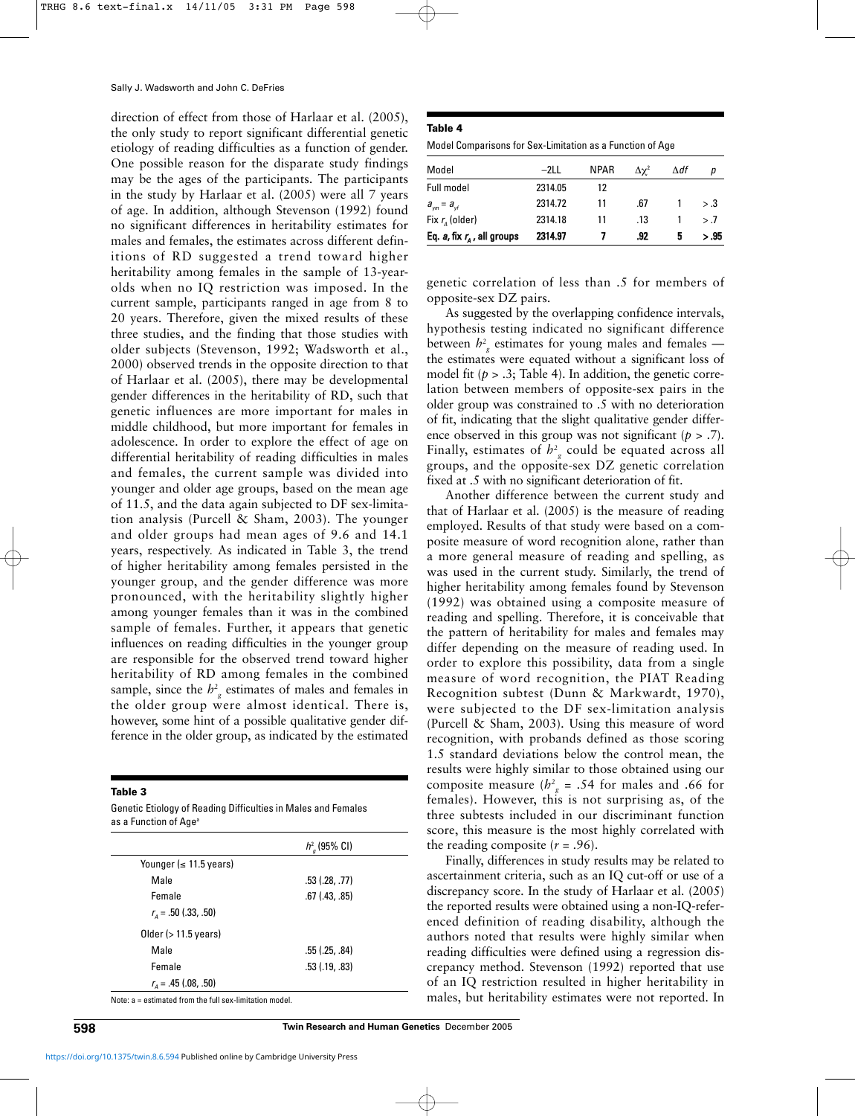direction of effect from those of Harlaar et al. (2005), the only study to report significant differential genetic etiology of reading difficulties as a function of gender. One possible reason for the disparate study findings may be the ages of the participants. The participants in the study by Harlaar et al. (2005) were all 7 years of age. In addition, although Stevenson (1992) found no significant differences in heritability estimates for males and females, the estimates across different definitions of RD suggested a trend toward higher heritability among females in the sample of 13-yearolds when no IQ restriction was imposed. In the current sample, participants ranged in age from 8 to 20 years. Therefore, given the mixed results of these three studies, and the finding that those studies with older subjects (Stevenson, 1992; Wadsworth et al., 2000) observed trends in the opposite direction to that of Harlaar et al. (2005), there may be developmental gender differences in the heritability of RD, such that genetic influences are more important for males in middle childhood, but more important for females in adolescence. In order to explore the effect of age on differential heritability of reading difficulties in males and females, the current sample was divided into younger and older age groups, based on the mean age of 11.5, and the data again subjected to DF sex-limitation analysis (Purcell & Sham, 2003). The younger and older groups had mean ages of 9.6 and 14.1 years, respectively. As indicated in Table 3, the trend of higher heritability among females persisted in the younger group, and the gender difference was more pronounced, with the heritability slightly higher among younger females than it was in the combined sample of females. Further, it appears that genetic influences on reading difficulties in the younger group are responsible for the observed trend toward higher heritability of RD among females in the combined sample, since the  $h^2$ <sub>g</sub> estimates of males and females in the older group were almost identical. There is, however, some hint of a possible qualitative gender difference in the older group, as indicated by the estimated

#### **Table 3**

| <b>Genetic Etiology of Reading Difficulties in Males and Females</b> |  |  |
|----------------------------------------------------------------------|--|--|
| as a Function of Age <sup>®</sup>                                    |  |  |

|                              | $h^2$ (95% CI)      |  |
|------------------------------|---------------------|--|
| Younger ( $\leq$ 11.5 years) |                     |  |
| Male                         | $.53$ (.28, .77)    |  |
| Female                       | $.67$ (.43, $.85$ ) |  |
| $r_{A} = .50$ (.33, .50)     |                     |  |
| Older $($ > 11.5 years)      |                     |  |
| Male                         | $.55$ (.25, .84)    |  |
| Female                       | .53(.19, .83)       |  |
| $r_{A} = .45$ (.08, .50)     |                     |  |
|                              |                     |  |

Note: a = estimated from the full sex-limitation model.

| Table 4                                                   |
|-----------------------------------------------------------|
| Model Comparisons for Sex-Limitation as a Function of Age |

| Model                            | $-2LL$  | <b>NPAR</b> | $\Delta\gamma^2$ | $\Delta$ df | р     |
|----------------------------------|---------|-------------|------------------|-------------|-------|
| Full model                       | 2314.05 | 12          |                  |             |       |
| $a_{\rm{vm}} = a_{\rm{vm}}$      | 2314.72 | 11          | .67              |             | > .3  |
| Fix $r_a$ (older)                | 2314.18 | 11          | .13              |             | > 7   |
| Eq. $a$ , fix $r_a$ , all groups | 2314.97 |             | .92              | 5           | > .95 |

genetic correlation of less than .5 for members of opposite-sex DZ pairs.

As suggested by the overlapping confidence intervals, hypothesis testing indicated no significant difference between  $h^2$ <sub>g</sub> estimates for young males and females the estimates were equated without a significant loss of model fit (*p* > .3; Table 4). In addition, the genetic correlation between members of opposite-sex pairs in the older group was constrained to .5 with no deterioration of fit, indicating that the slight qualitative gender difference observed in this group was not significant (*p* > .7). Finally, estimates of  $h^2_{\phantom{2}g}$  could be equated across all groups, and the opposite-sex DZ genetic correlation fixed at .5 with no significant deterioration of fit.

Another difference between the current study and that of Harlaar et al. (2005) is the measure of reading employed. Results of that study were based on a composite measure of word recognition alone, rather than a more general measure of reading and spelling, as was used in the current study. Similarly, the trend of higher heritability among females found by Stevenson (1992) was obtained using a composite measure of reading and spelling. Therefore, it is conceivable that the pattern of heritability for males and females may differ depending on the measure of reading used. In order to explore this possibility, data from a single measure of word recognition, the PIAT Reading Recognition subtest (Dunn & Markwardt, 1970), were subjected to the DF sex-limitation analysis (Purcell & Sham, 2003). Using this measure of word recognition, with probands defined as those scoring 1.5 standard deviations below the control mean, the results were highly similar to those obtained using our composite measure ( $h^2$ <sub>g</sub> = .54 for males and .66 for females). However, this is not surprising as, of the three subtests included in our discriminant function score, this measure is the most highly correlated with the reading composite  $(r = .96)$ .

Finally, differences in study results may be related to ascertainment criteria, such as an IQ cut-off or use of a discrepancy score. In the study of Harlaar et al. (2005) the reported results were obtained using a non-IQ-referenced definition of reading disability, although the authors noted that results were highly similar when reading difficulties were defined using a regression discrepancy method. Stevenson (1992) reported that use of an IQ restriction resulted in higher heritability in males, but heritability estimates were not reported. In

**598 Twin Research and Human Genetics** December 2005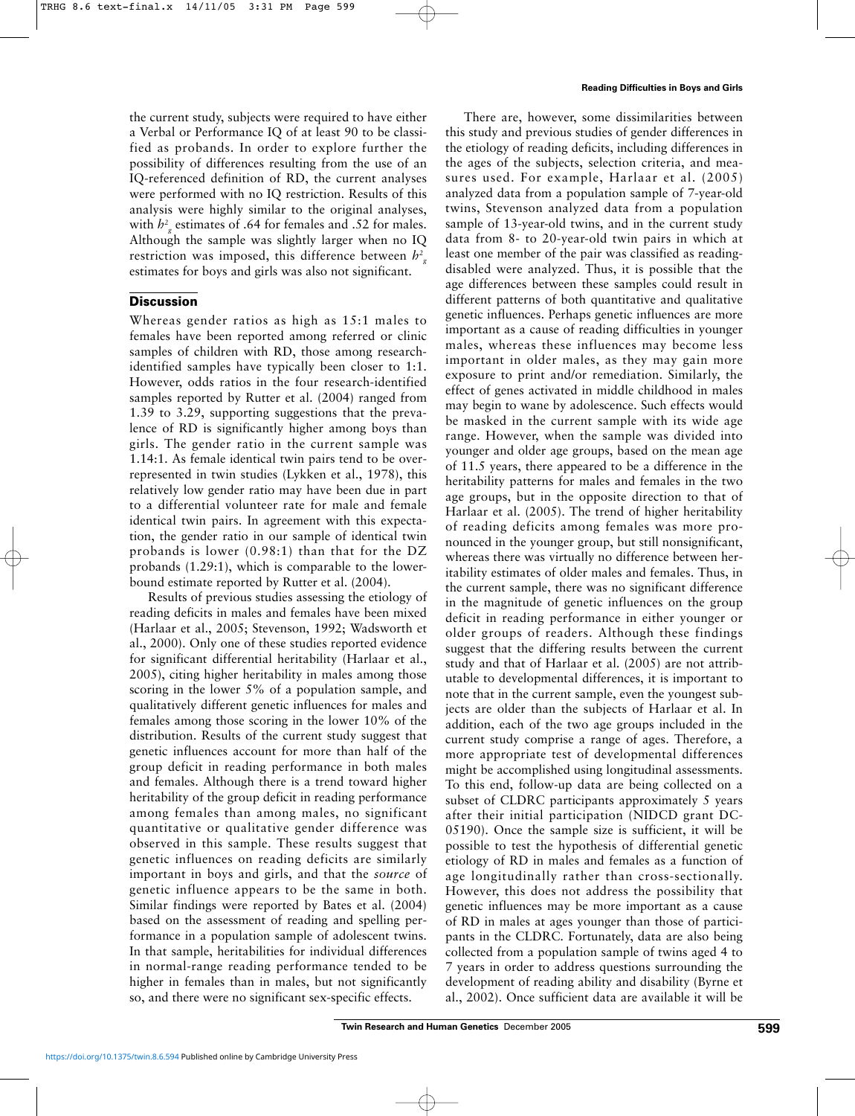the current study, subjects were required to have either a Verbal or Performance IQ of at least 90 to be classified as probands. In order to explore further the possibility of differences resulting from the use of an IQ-referenced definition of RD, the current analyses were performed with no IQ restriction. Results of this analysis were highly similar to the original analyses, with  $h^2$ <sub>g</sub> estimates of .64 for females and .52 for males. Although the sample was slightly larger when no IQ restriction was imposed, this difference between  $h^2_{g}$ estimates for boys and girls was also not significant.

# **Discussion**

Whereas gender ratios as high as 15:1 males to females have been reported among referred or clinic samples of children with RD, those among researchidentified samples have typically been closer to 1:1. However, odds ratios in the four research-identified samples reported by Rutter et al. (2004) ranged from 1.39 to 3.29, supporting suggestions that the prevalence of RD is significantly higher among boys than girls. The gender ratio in the current sample was 1.14:1. As female identical twin pairs tend to be overrepresented in twin studies (Lykken et al., 1978), this relatively low gender ratio may have been due in part to a differential volunteer rate for male and female identical twin pairs. In agreement with this expectation, the gender ratio in our sample of identical twin probands is lower (0.98:1) than that for the DZ probands (1.29:1), which is comparable to the lowerbound estimate reported by Rutter et al. (2004).

Results of previous studies assessing the etiology of reading deficits in males and females have been mixed (Harlaar et al., 2005; Stevenson, 1992; Wadsworth et al., 2000). Only one of these studies reported evidence for significant differential heritability (Harlaar et al., 2005), citing higher heritability in males among those scoring in the lower 5% of a population sample, and qualitatively different genetic influences for males and females among those scoring in the lower 10% of the distribution. Results of the current study suggest that genetic influences account for more than half of the group deficit in reading performance in both males and females. Although there is a trend toward higher heritability of the group deficit in reading performance among females than among males, no significant quantitative or qualitative gender difference was observed in this sample. These results suggest that genetic influences on reading deficits are similarly important in boys and girls, and that the *source* of genetic influence appears to be the same in both. Similar findings were reported by Bates et al. (2004) based on the assessment of reading and spelling performance in a population sample of adolescent twins. In that sample, heritabilities for individual differences in normal-range reading performance tended to be higher in females than in males, but not significantly so, and there were no significant sex-specific effects.

There are, however, some dissimilarities between this study and previous studies of gender differences in the etiology of reading deficits, including differences in the ages of the subjects, selection criteria, and measures used. For example, Harlaar et al. (2005) analyzed data from a population sample of 7-year-old twins, Stevenson analyzed data from a population sample of 13-year-old twins, and in the current study data from 8- to 20-year-old twin pairs in which at least one member of the pair was classified as readingdisabled were analyzed. Thus, it is possible that the age differences between these samples could result in different patterns of both quantitative and qualitative genetic influences. Perhaps genetic influences are more important as a cause of reading difficulties in younger males, whereas these influences may become less important in older males, as they may gain more exposure to print and/or remediation. Similarly, the effect of genes activated in middle childhood in males may begin to wane by adolescence. Such effects would be masked in the current sample with its wide age range. However, when the sample was divided into younger and older age groups, based on the mean age of 11.5 years, there appeared to be a difference in the heritability patterns for males and females in the two age groups, but in the opposite direction to that of Harlaar et al. (2005). The trend of higher heritability of reading deficits among females was more pronounced in the younger group, but still nonsignificant, whereas there was virtually no difference between heritability estimates of older males and females. Thus, in the current sample, there was no significant difference in the magnitude of genetic influences on the group deficit in reading performance in either younger or older groups of readers. Although these findings suggest that the differing results between the current study and that of Harlaar et al. (2005) are not attributable to developmental differences, it is important to note that in the current sample, even the youngest subjects are older than the subjects of Harlaar et al. In addition, each of the two age groups included in the current study comprise a range of ages. Therefore, a more appropriate test of developmental differences might be accomplished using longitudinal assessments. To this end, follow-up data are being collected on a subset of CLDRC participants approximately 5 years after their initial participation (NIDCD grant DC-05190). Once the sample size is sufficient, it will be possible to test the hypothesis of differential genetic etiology of RD in males and females as a function of age longitudinally rather than cross-sectionally. However, this does not address the possibility that genetic influences may be more important as a cause of RD in males at ages younger than those of participants in the CLDRC. Fortunately, data are also being collected from a population sample of twins aged 4 to 7 years in order to address questions surrounding the development of reading ability and disability (Byrne et al., 2002). Once sufficient data are available it will be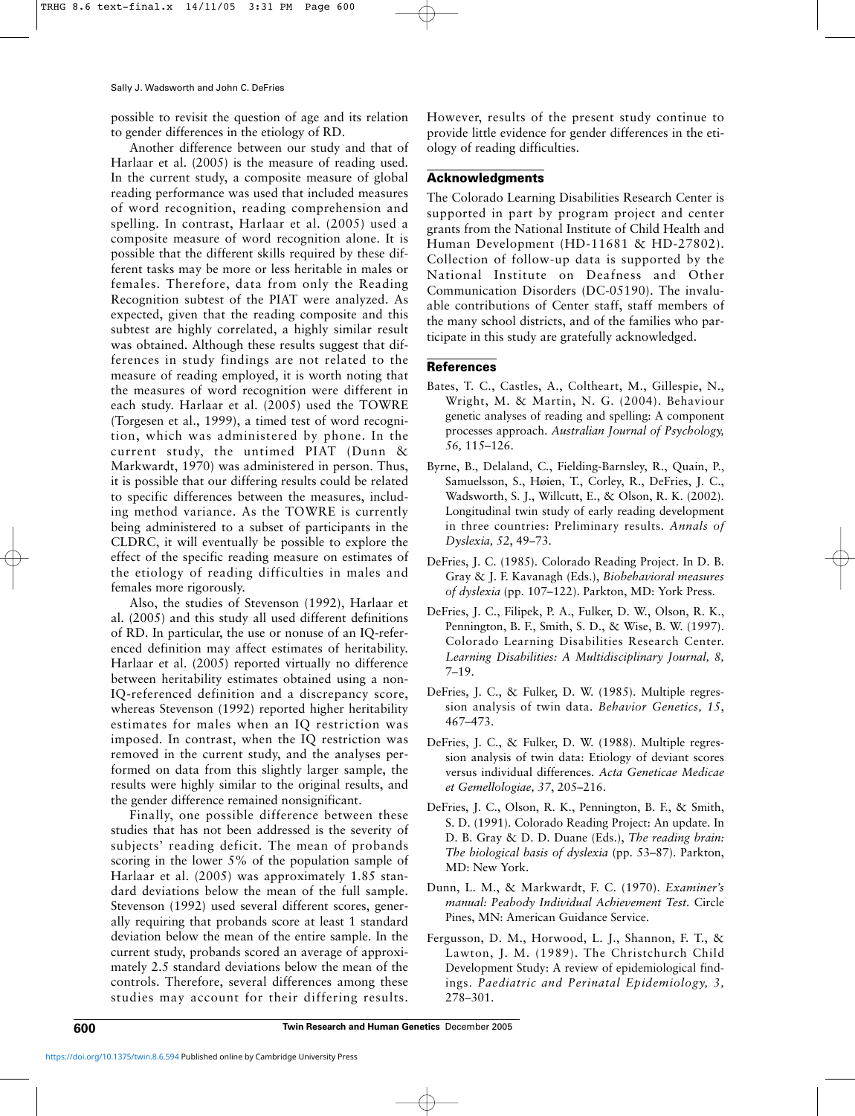possible to revisit the question of age and its relation to gender differences in the etiology of RD.

Another difference between our study and that of Harlaar et al. (2005) is the measure of reading used. In the current study, a composite measure of global reading performance was used that included measures of word recognition, reading comprehension and spelling. In contrast, Harlaar et al. (2005) used a composite measure of word recognition alone. It is possible that the different skills required by these different tasks may be more or less heritable in males or females. Therefore, data from only the Reading Recognition subtest of the PIAT were analyzed. As expected, given that the reading composite and this subtest are highly correlated, a highly similar result was obtained. Although these results suggest that differences in study findings are not related to the measure of reading employed, it is worth noting that the measures of word recognition were different in each study. Harlaar et al. (2005) used the TOWRE (Torgesen et al., 1999), a timed test of word recognition, which was administered by phone. In the current study, the untimed PIAT (Dunn & Markwardt, 1970) was administered in person. Thus, it is possible that our differing results could be related to specific differences between the measures, including method variance. As the TOWRE is currently being administered to a subset of participants in the CLDRC, it will eventually be possible to explore the effect of the specific reading measure on estimates of the etiology of reading difficulties in males and females more rigorously.

Also, the studies of Stevenson (1992), Harlaar et al. (2005) and this study all used different definitions of RD. In particular, the use or nonuse of an IQ-referenced definition may affect estimates of heritability. Harlaar et al. (2005) reported virtually no difference between heritability estimates obtained using a non-IQ-referenced definition and a discrepancy score, whereas Stevenson (1992) reported higher heritability estimates for males when an IQ restriction was imposed. In contrast, when the IQ restriction was removed in the current study, and the analyses performed on data from this slightly larger sample, the results were highly similar to the original results, and the gender difference remained nonsignificant.

Finally, one possible difference between these studies that has not been addressed is the severity of subjects' reading deficit. The mean of probands scoring in the lower 5% of the population sample of Harlaar et al. (2005) was approximately 1.85 standard deviations below the mean of the full sample. Stevenson (1992) used several different scores, generally requiring that probands score at least 1 standard deviation below the mean of the entire sample. In the current study, probands scored an average of approximately 2.5 standard deviations below the mean of the controls. Therefore, several differences among these studies may account for their differing results.

However, results of the present study continue to provide little evidence for gender differences in the etiology of reading difficulties.

#### **Acknowledgments**

The Colorado Learning Disabilities Research Center is supported in part by program project and center grants from the National Institute of Child Health and Human Development (HD-11681 & HD-27802). Collection of follow-up data is supported by the National Institute on Deafness and Other Communication Disorders (DC-05190). The invaluable contributions of Center staff, staff members of the many school districts, and of the families who participate in this study are gratefully acknowledged.

#### **References**

- Bates, T. C., Castles, A., Coltheart, M., Gillespie, N., Wright, M. & Martin, N. G. (2004). Behaviour genetic analyses of reading and spelling: A component processes approach. *Australian Journal of Psychology, 56,* 115–126.
- Byrne, B., Delaland, C., Fielding-Barnsley, R., Quain, P., Samuelsson, S., Høien, T., Corley, R., DeFries, J. C., Wadsworth, S. J., Willcutt, E., & Olson, R. K. (2002). Longitudinal twin study of early reading development in three countries: Preliminary results. *Annals of Dyslexia, 52*, 49–73.
- DeFries, J. C. (1985). Colorado Reading Project. In D. B. Gray & J. F. Kavanagh (Eds.), *Biobehavioral measures of dyslexia* (pp. 107–122). Parkton, MD: York Press.
- DeFries, J. C., Filipek, P. A., Fulker, D. W., Olson, R. K., Pennington, B. F., Smith, S. D., & Wise, B. W. (1997). Colorado Learning Disabilities Research Center. *Learning Disabilities: A Multidisciplinary Journal, 8,* 7–19.
- DeFries, J. C., & Fulker, D. W. (1985). Multiple regression analysis of twin data. *Behavior Genetics, 15*, 467–473.
- DeFries, J. C., & Fulker, D. W. (1988). Multiple regression analysis of twin data: Etiology of deviant scores versus individual differences. *Acta Geneticae Medicae et Gemellologiae, 37*, 205–216.
- DeFries, J. C., Olson, R. K., Pennington, B. F., & Smith, S. D. (1991). Colorado Reading Project: An update. In D. B. Gray & D. D. Duane (Eds.), *The reading brain: The biological basis of dyslexia* (pp. 53–87). Parkton, MD: New York.
- Dunn, L. M., & Markwardt, F. C. (1970). *Examiner's manual: Peabody Individual Achievement Test.* Circle Pines, MN: American Guidance Service.
- Fergusson, D. M., Horwood, L. J., Shannon, F. T., & Lawton, J. M. (1989). The Christchurch Child Development Study: A review of epidemiological findings. *Paediatric and Perinatal Epidemiology, 3,* 278–301.